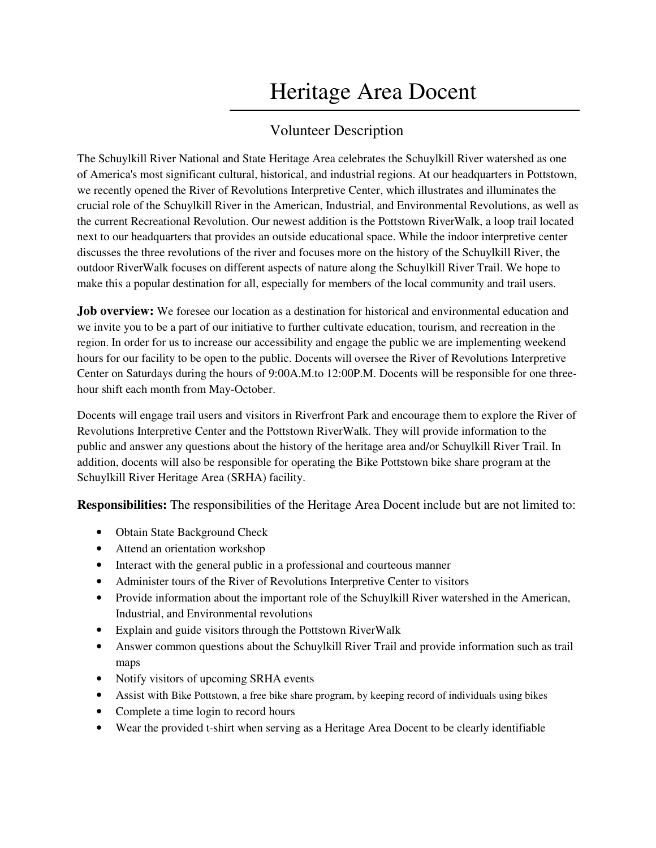# Heritage Area Docent

## Volunteer Description

The Schuylkill River National and State Heritage Area celebrates the Schuylkill River watershed as one of America's most significant cultural, historical, and industrial regions. At our headquarters in Pottstown, we recently opened the River of Revolutions Interpretive Center, which illustrates and illuminates the crucial role of the Schuylkill River in the American, Industrial, and Environmental Revolutions, as well as the current Recreational Revolution. Our newest addition is the Pottstown RiverWalk, a loop trail located next to our headquarters that provides an outside educational space. While the indoor interpretive center discusses the three revolutions of the river and focuses more on the history of the Schuylkill River, the outdoor RiverWalk focuses on different aspects of nature along the Schuylkill River Trail. We hope to make this a popular destination for all, especially for members of the local community and trail users.

**Job overview:** We foresee our location as a destination for historical and environmental education and we invite you to be a part of our initiative to further cultivate education, tourism, and recreation in the region. In order for us to increase our accessibility and engage the public we are implementing weekend hours for our facility to be open to the public. Docents will oversee the River of Revolutions Interpretive Center on Saturdays during the hours of 9:00A.M.to 12:00P.M. Docents will be responsible for one threehour shift each month from May-October.

Docents will engage trail users and visitors in Riverfront Park and encourage them to explore the River of Revolutions Interpretive Center and the Pottstown RiverWalk. They will provide information to the public and answer any questions about the history of the heritage area and/or Schuylkill River Trail. In addition, docents will also be responsible for operating the Bike Pottstown bike share program at the Schuylkill River Heritage Area (SRHA) facility.

**Responsibilities:** The responsibilities of the Heritage Area Docent include but are not limited to:

- Obtain State Background Check
- Attend an orientation workshop
- Interact with the general public in a professional and courteous manner
- Administer tours of the River of Revolutions Interpretive Center to visitors
- Provide information about the important role of the Schuylkill River watershed in the American, Industrial, and Environmental revolutions
- Explain and guide visitors through the Pottstown RiverWalk
- Answer common questions about the Schuylkill River Trail and provide information such as trail maps
- Notify visitors of upcoming SRHA events
- Assist with Bike Pottstown, a free bike share program, by keeping record of individuals using bikes
- Complete a time login to record hours
- Wear the provided t-shirt when serving as a Heritage Area Docent to be clearly identifiable